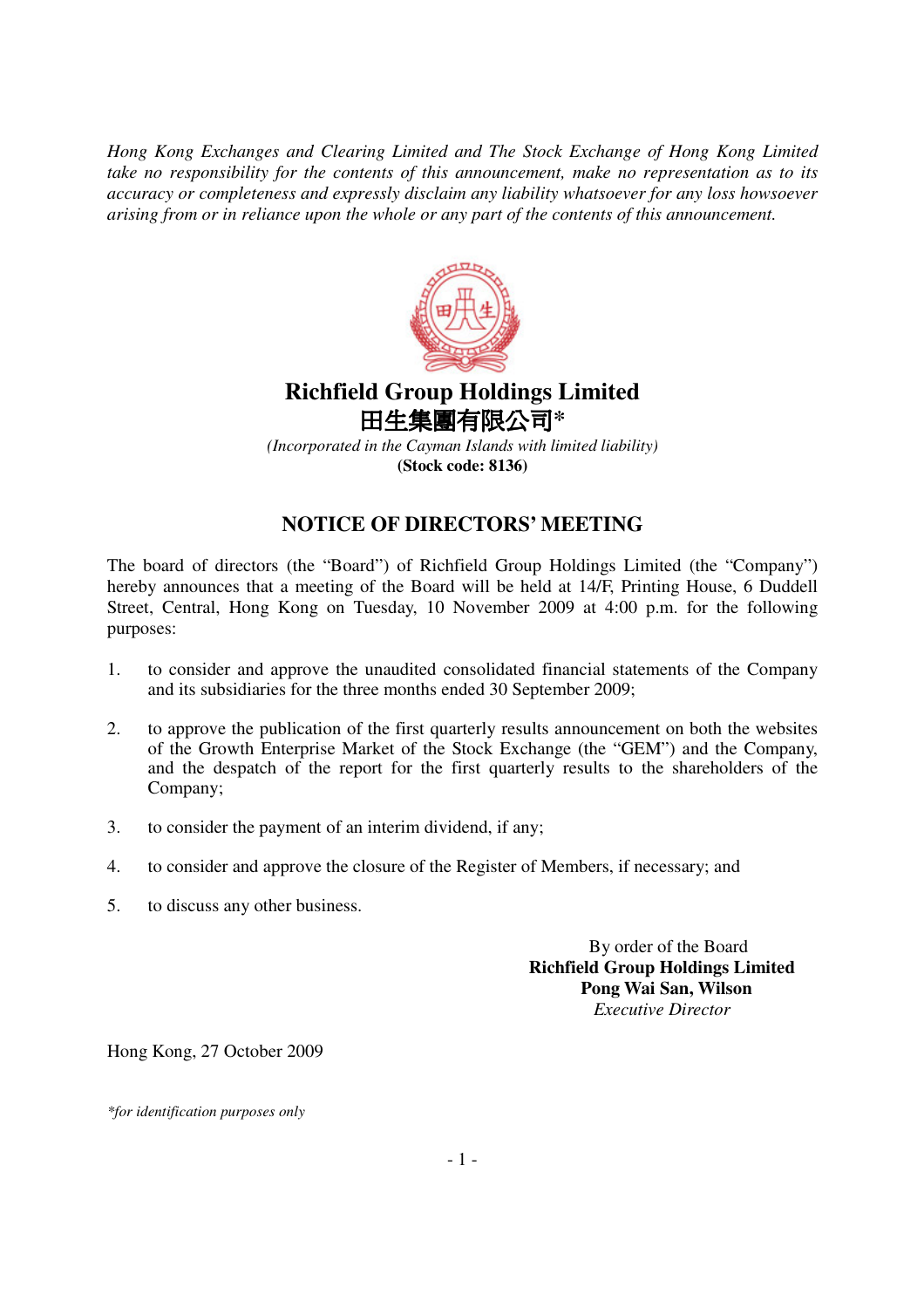*Hong Kong Exchanges and Clearing Limited and The Stock Exchange of Hong Kong Limited take no responsibility for the contents of this announcement, make no representation as to its accuracy or completeness and expressly disclaim any liability whatsoever for any loss howsoever arising from or in reliance upon the whole or any part of the contents of this announcement.*



## **Richfield Group Holdings Limited** 田生集團有限公司\*

*(Incorporated in the Cayman Islands with limited liability)* **(Stock code: 8136)**

## **NOTICE OF DIRECTORS' MEETING**

The board of directors (the "Board") of Richfield Group Holdings Limited (the "Company") hereby announces that a meeting of the Board will be held at 14/F, Printing House, 6 Duddell Street, Central, Hong Kong on Tuesday, 10 November 2009 at 4:00 p.m. for the following purposes:

- 1. to consider and approve the unaudited consolidated financial statements of the Company and its subsidiaries for the three months ended 30 September 2009;
- 2. to approve the publication of the first quarterly results announcement on both the websites of the Growth Enterprise Market of the Stock Exchange (the "GEM") and the Company, and the despatch of the report for the first quarterly results to the shareholders of the Company;
- 3. to consider the payment of an interim dividend, if any;
- 4. to consider and approve the closure of the Register of Members, if necessary; and
- 5. to discuss any other business.

By order of the Board **Richfield Group Holdings Limited Pong Wai San, Wilson** *Executive Director*

Hong Kong, 27 October 2009

*\*for identification purposes only*